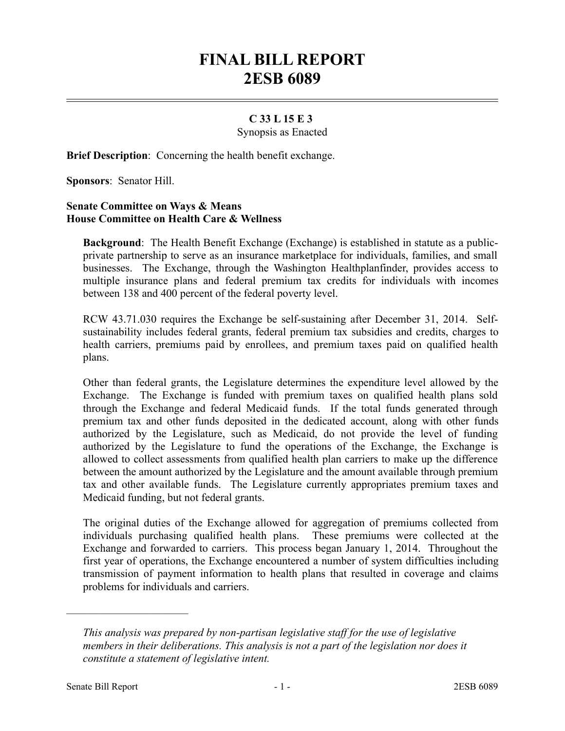## **FINAL BILL REPORT 2ESB 6089**

## **C 33 L 15 E 3**

Synopsis as Enacted

**Brief Description**: Concerning the health benefit exchange.

**Sponsors**: Senator Hill.

## **Senate Committee on Ways & Means House Committee on Health Care & Wellness**

**Background**: The Health Benefit Exchange (Exchange) is established in statute as a publicprivate partnership to serve as an insurance marketplace for individuals, families, and small businesses. The Exchange, through the Washington Healthplanfinder, provides access to multiple insurance plans and federal premium tax credits for individuals with incomes between 138 and 400 percent of the federal poverty level.

RCW 43.71.030 requires the Exchange be self-sustaining after December 31, 2014. Selfsustainability includes federal grants, federal premium tax subsidies and credits, charges to health carriers, premiums paid by enrollees, and premium taxes paid on qualified health plans.

Other than federal grants, the Legislature determines the expenditure level allowed by the Exchange. The Exchange is funded with premium taxes on qualified health plans sold through the Exchange and federal Medicaid funds. If the total funds generated through premium tax and other funds deposited in the dedicated account, along with other funds authorized by the Legislature, such as Medicaid, do not provide the level of funding authorized by the Legislature to fund the operations of the Exchange, the Exchange is allowed to collect assessments from qualified health plan carriers to make up the difference between the amount authorized by the Legislature and the amount available through premium tax and other available funds. The Legislature currently appropriates premium taxes and Medicaid funding, but not federal grants.

The original duties of the Exchange allowed for aggregation of premiums collected from individuals purchasing qualified health plans. These premiums were collected at the Exchange and forwarded to carriers. This process began January 1, 2014. Throughout the first year of operations, the Exchange encountered a number of system difficulties including transmission of payment information to health plans that resulted in coverage and claims problems for individuals and carriers.

––––––––––––––––––––––

*This analysis was prepared by non-partisan legislative staff for the use of legislative members in their deliberations. This analysis is not a part of the legislation nor does it constitute a statement of legislative intent.*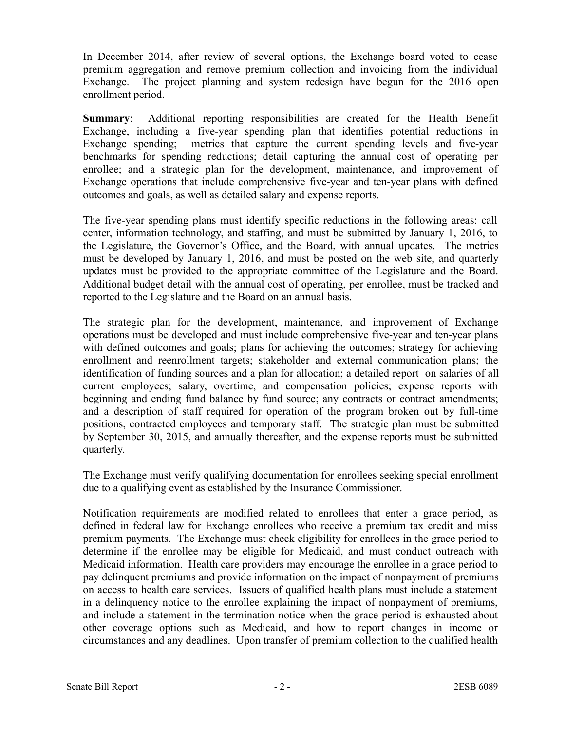In December 2014, after review of several options, the Exchange board voted to cease premium aggregation and remove premium collection and invoicing from the individual Exchange. The project planning and system redesign have begun for the 2016 open enrollment period.

**Summary**: Additional reporting responsibilities are created for the Health Benefit Exchange, including a five-year spending plan that identifies potential reductions in Exchange spending; metrics that capture the current spending levels and five-year benchmarks for spending reductions; detail capturing the annual cost of operating per enrollee; and a strategic plan for the development, maintenance, and improvement of Exchange operations that include comprehensive five-year and ten-year plans with defined outcomes and goals, as well as detailed salary and expense reports.

The five-year spending plans must identify specific reductions in the following areas: call center, information technology, and staffing, and must be submitted by January 1, 2016, to the Legislature, the Governor's Office, and the Board, with annual updates. The metrics must be developed by January 1, 2016, and must be posted on the web site, and quarterly updates must be provided to the appropriate committee of the Legislature and the Board. Additional budget detail with the annual cost of operating, per enrollee, must be tracked and reported to the Legislature and the Board on an annual basis.

The strategic plan for the development, maintenance, and improvement of Exchange operations must be developed and must include comprehensive five-year and ten-year plans with defined outcomes and goals; plans for achieving the outcomes; strategy for achieving enrollment and reenrollment targets; stakeholder and external communication plans; the identification of funding sources and a plan for allocation; a detailed report on salaries of all current employees; salary, overtime, and compensation policies; expense reports with beginning and ending fund balance by fund source; any contracts or contract amendments; and a description of staff required for operation of the program broken out by full-time positions, contracted employees and temporary staff. The strategic plan must be submitted by September 30, 2015, and annually thereafter, and the expense reports must be submitted quarterly.

The Exchange must verify qualifying documentation for enrollees seeking special enrollment due to a qualifying event as established by the Insurance Commissioner.

Notification requirements are modified related to enrollees that enter a grace period, as defined in federal law for Exchange enrollees who receive a premium tax credit and miss premium payments. The Exchange must check eligibility for enrollees in the grace period to determine if the enrollee may be eligible for Medicaid, and must conduct outreach with Medicaid information. Health care providers may encourage the enrollee in a grace period to pay delinquent premiums and provide information on the impact of nonpayment of premiums on access to health care services. Issuers of qualified health plans must include a statement in a delinquency notice to the enrollee explaining the impact of nonpayment of premiums, and include a statement in the termination notice when the grace period is exhausted about other coverage options such as Medicaid, and how to report changes in income or circumstances and any deadlines. Upon transfer of premium collection to the qualified health